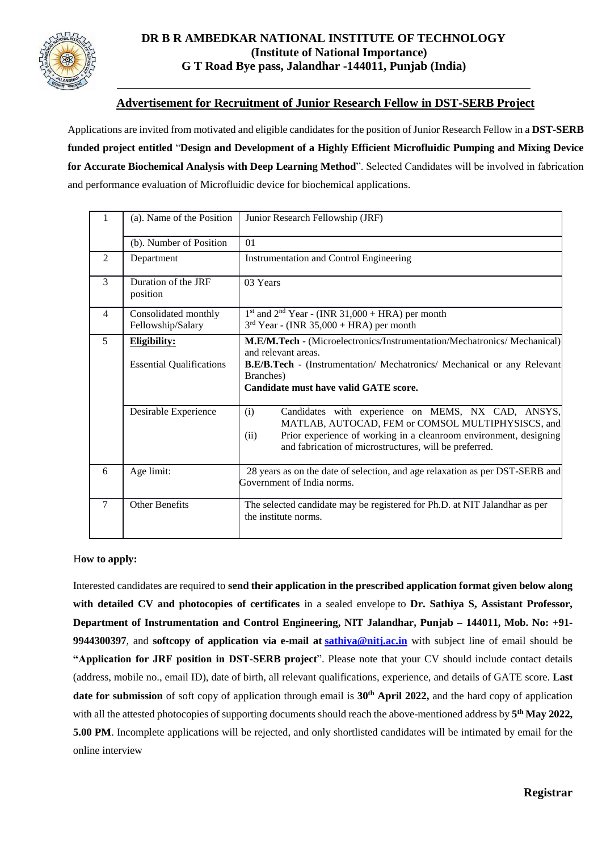

#### **DR B R AMBEDKAR NATIONAL INSTITUTE OF TECHNOLOGY (Institute of National Importance) G T Road Bye pass, Jalandhar -144011, Punjab (India)**

#### **Advertisement for Recruitment of Junior Research Fellow in DST-SERB Project**

Applications are invited from motivated and eligible candidates for the position of Junior Research Fellow in a **DST-SERB funded project entitled** "**Design and Development of a Highly Efficient Microfluidic Pumping and Mixing Device for Accurate Biochemical Analysis with Deep Learning Method**". Selected Candidates will be involved in fabrication and performance evaluation of Microfluidic device for biochemical applications.

|                | (a). Name of the Position                       | Junior Research Fellowship (JRF)                                                                                                                                                                                                                      |  |  |  |
|----------------|-------------------------------------------------|-------------------------------------------------------------------------------------------------------------------------------------------------------------------------------------------------------------------------------------------------------|--|--|--|
|                | (b). Number of Position                         | 01                                                                                                                                                                                                                                                    |  |  |  |
| $\overline{2}$ | Department                                      | <b>Instrumentation and Control Engineering</b>                                                                                                                                                                                                        |  |  |  |
| 3              | Duration of the JRF<br>position                 | 03 Years                                                                                                                                                                                                                                              |  |  |  |
| 4              | Consolidated monthly<br>Fellowship/Salary       | $1st$ and $2nd$ Year - (INR 31,000 + HRA) per month<br>$3rd$ Year - (INR 35,000 + HRA) per month                                                                                                                                                      |  |  |  |
| 5              | Eligibility:<br><b>Essential Qualifications</b> | M.E/M.Tech - (Microelectronics/Instrumentation/Mechatronics/ Mechanical)<br>and relevant areas.<br><b>B.E/B.Tech</b> - (Instrumentation/ Mechatronics/ Mechanical or any Relevant<br>Branches)<br>Candidate must have valid GATE score.               |  |  |  |
|                | Desirable Experience                            | Candidates with experience on MEMS, NX CAD, ANSYS,<br>(i)<br>MATLAB, AUTOCAD, FEM or COMSOL MULTIPHYSISCS, and<br>Prior experience of working in a cleanroom environment, designing<br>(ii)<br>and fabrication of microstructures, will be preferred. |  |  |  |
| 6              | Age limit:                                      | 28 years as on the date of selection, and age relaxation as per DST-SERB and<br>Government of India norms.                                                                                                                                            |  |  |  |
| 7              | <b>Other Benefits</b>                           | The selected candidate may be registered for Ph.D. at NIT Jalandhar as per<br>the institute norms.                                                                                                                                                    |  |  |  |

#### H**ow to apply:**

Interested candidates are required to **send their application in the prescribed application format given below along with detailed CV and photocopies of certificates** in a sealed envelope to **Dr. Sathiya S, Assistant Professor, Department of Instrumentation and Control Engineering, NIT Jalandhar, Punjab – 144011, Mob. No: +91- 9944300397**, and **softcopy of application via e-mail at [sathiya@nitj.ac.in](about:blank)** with subject line of email should be **"Application for JRF position in DST-SERB project**". Please note that your CV should include contact details (address, mobile no., email ID), date of birth, all relevant qualifications, experience, and details of GATE score. **Last date for submission** of soft copy of application through email is **30th April 2022,** and the hard copy of application with all the attested photocopies of supporting documents should reach the above-mentioned address by **5 th May 2022, 5.00 PM**. Incomplete applications will be rejected, and only shortlisted candidates will be intimated by email for the online interview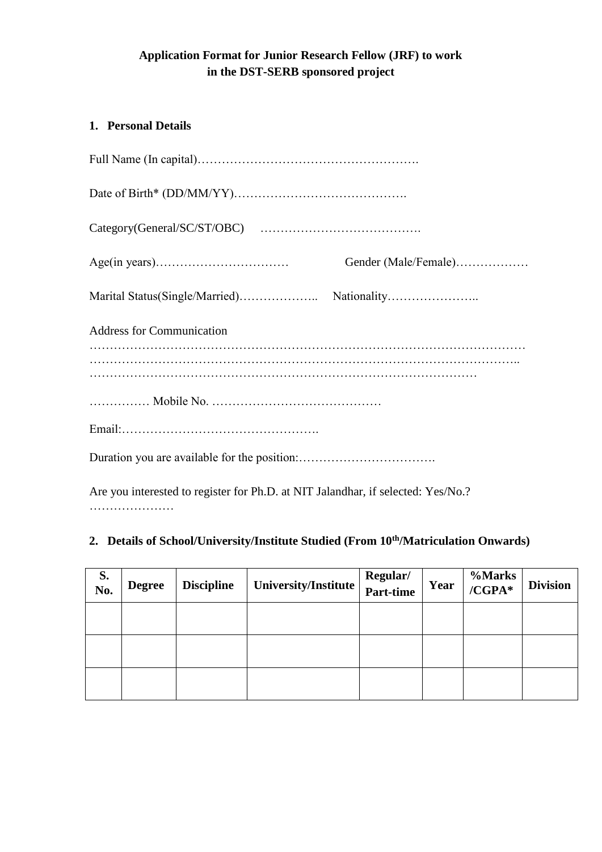# **Application Format for Junior Research Fellow (JRF) to work in the DST-SERB sponsored project**

# **1. Personal Details**

| Gender (Male/Female)             |
|----------------------------------|
|                                  |
| <b>Address for Communication</b> |
|                                  |
|                                  |
|                                  |
|                                  |

Are you interested to register for Ph.D. at NIT Jalandhar, if selected: Yes/No.? …………………

# **2. Details of School/University/Institute Studied (From 10th/Matriculation Onwards)**

| S.<br>No. | <b>Degree</b> | <b>Discipline</b> | University/Institute | Regular/<br>Part-time | Year | <b>%Marks</b><br>/CGPA* | <b>Division</b> |
|-----------|---------------|-------------------|----------------------|-----------------------|------|-------------------------|-----------------|
|           |               |                   |                      |                       |      |                         |                 |
|           |               |                   |                      |                       |      |                         |                 |
|           |               |                   |                      |                       |      |                         |                 |